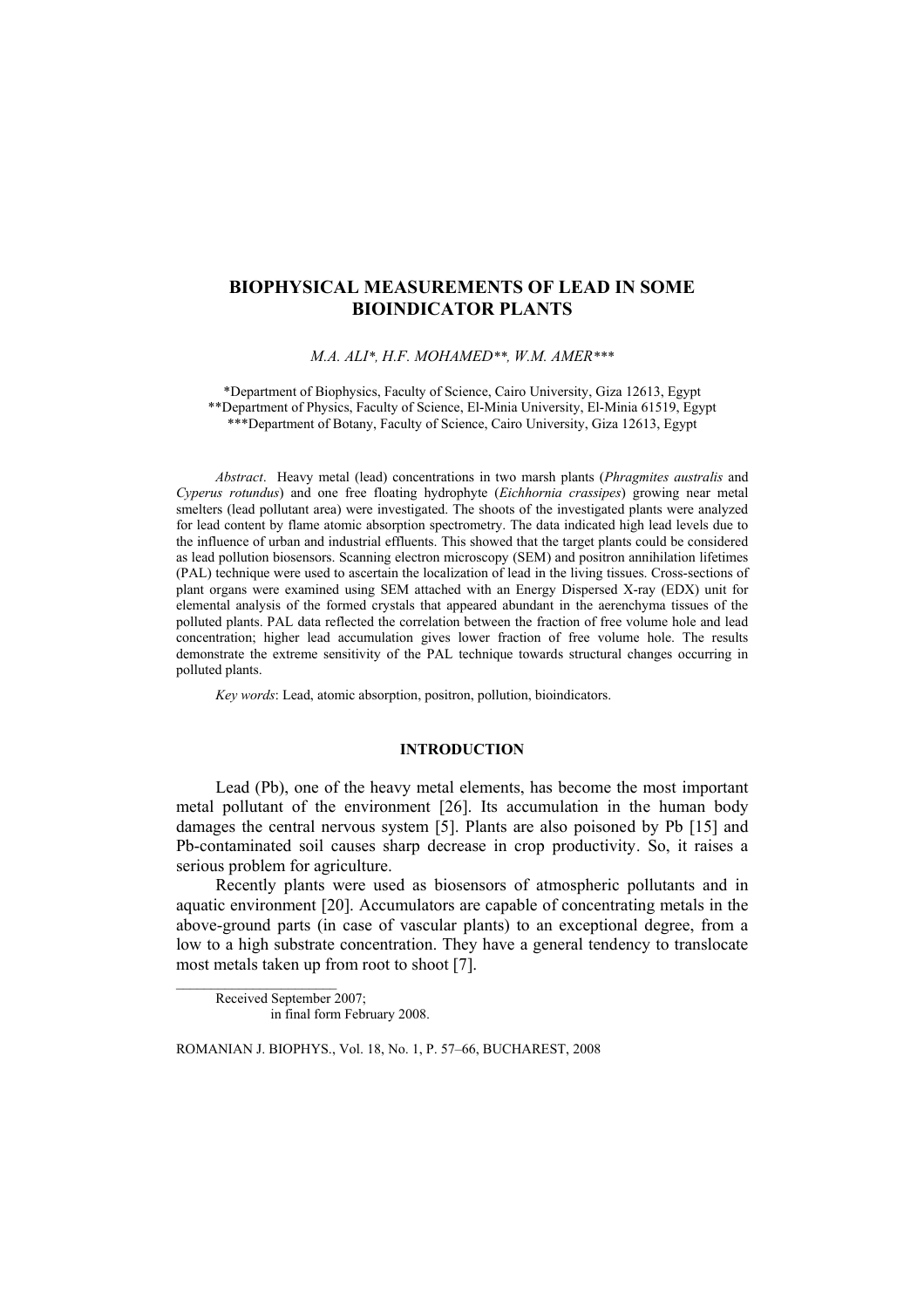# **BIOPHYSICAL MEASUREMENTS OF LEAD IN SOME BIOINDICATOR PLANTS**

M.A. ALI\*, H.F. MOHAMED\*\*, W.M. AMER\*\*\*

\*Department of Biophysics, Faculty of Science, Cairo University, Giza 12613, Egypt \*\* Department of Physics, Faculty of Science, El-Minia University, El-Minia 61519, Egypt \*\*\*Department of Botany, Faculty of Science, Cairo University, Giza 12613, Egypt

Abstract. Heavy metal (lead) concentrations in two marsh plants (Phragmites australis and Cyperus rotundus) and one free floating hydrophyte (Eichhornia crassipes) growing near metal smelters (lead pollutant area) were investigated. The shoots of the investigated plants were analyzed for lead content by flame atomic absorption spectrometry. The data indicated high lead levels due to the influence of urban and industrial effluents. This showed that the target plants could be considered as lead pollution biosensors. Scanning electron microscopy (SEM) and positron annihilation lifetimes (PAL) technique were used to ascertain the localization of lead in the living tissues. Cross-sections of plant organs were examined using SEM attached with an Energy Dispersed X-ray (EDX) unit for elemental analysis of the formed crystals that appeared abundant in the aerenchyma tissues of the polluted plants. PAL data reflected the correlation between the fraction of free volume hole and lead concentration; higher lead accumulation gives lower fraction of free volume hole. The results demonstrate the extreme sensitivity of the PAL technique towards structural changes occurring in polluted plants.

Key words: Lead, atomic absorption, positron, pollution, bioindicators.

### **INTRODUCTION**

Lead (Pb), one of the heavy metal elements, has become the most important metal pollutant of the environment [26]. Its accumulation in the human body damages the central nervous system [5]. Plants are also poisoned by Pb [15] and Pb-contaminated soil causes sharp decrease in crop productivity. So, it raises a serious problem for agriculture.

Recently plants were used as biosensors of atmospheric pollutants and in aquatic environment [20]. Accumulators are capable of concentrating metals in the above-ground parts (in case of vascular plants) to an exceptional degree, from a low to a high substrate concentration. They have a general tendency to translocate most metals taken up from root to shoot [7].

Received September 2007; in final form February 2008.

ROMANIAN J. BIOPHYS., Vol. 18, No. 1, P. 57-66, BUCHAREST, 2008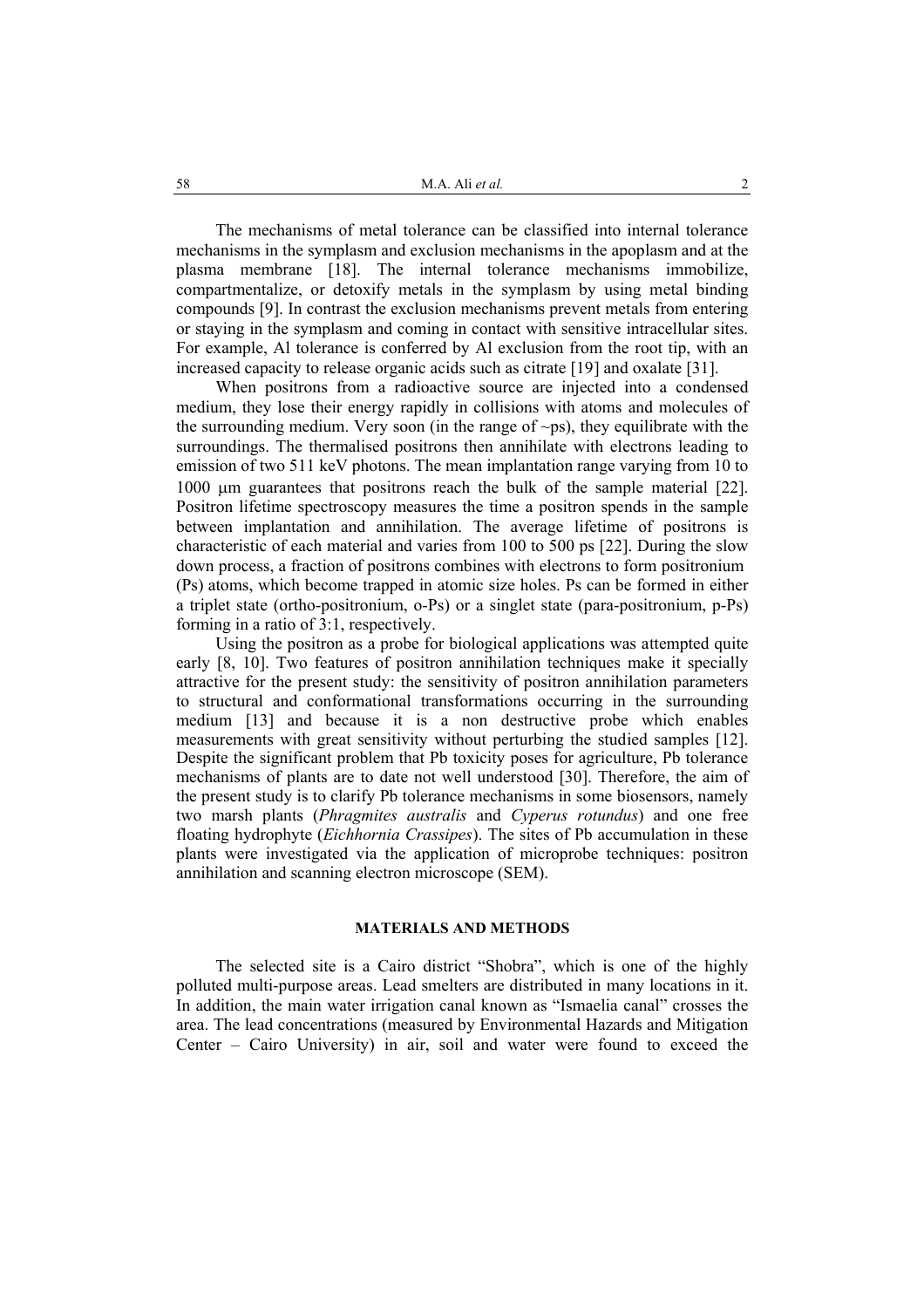The mechanisms of metal tolerance can be classified into internal tolerance mechanisms in the symplasm and exclusion mechanisms in the apoplasm and at the plasma membrane [18]. The internal tolerance mechanisms immobilize. compartmentalize, or detoxify metals in the symplasm by using metal binding compounds [9]. In contrast the exclusion mechanisms prevent metals from entering or staying in the symplasm and coming in contact with sensitive intracellular sites. For example, Al tolerance is conferred by Al exclusion from the root tip, with an increased capacity to release organic acids such as citrate [19] and oxalate [31].

When positrons from a radioactive source are injected into a condensed medium, they lose their energy rapidly in collisions with atoms and molecules of the surrounding medium. Very soon (in the range of  $\sim$ ps), they equilibrate with the surroundings. The thermalised positrons then annihilate with electrons leading to emission of two 511 keV photons. The mean implantation range varying from 10 to 1000 um guarantees that positrons reach the bulk of the sample material [22]. Positron lifetime spectroscopy measures the time a positron spends in the sample between implantation and annihilation. The average lifetime of positrons is characteristic of each material and varies from 100 to 500 ps [22]. During the slow down process, a fraction of positrons combines with electrons to form positronium (Ps) atoms, which become trapped in atomic size holes. Ps can be formed in either a triplet state (ortho-positronium, o-Ps) or a singlet state (para-positronium, p-Ps) forming in a ratio of 3:1, respectively.

Using the positron as a probe for biological applications was attempted quite early [8, 10]. Two features of positron annihilation techniques make it specially attractive for the present study: the sensitivity of positron annihilation parameters to structural and conformational transformations occurring in the surrounding medium [13] and because it is a non destructive probe which enables measurements with great sensitivity without perturbing the studied samples [12]. Despite the significant problem that Pb toxicity poses for agriculture. Pb tolerance mechanisms of plants are to date not well understood [30]. Therefore, the aim of the present study is to clarify Pb tolerance mechanisms in some biosensors, namely two marsh plants (*Phragmites australis* and *Cyperus rotundus*) and one free floating hydrophyte *(Eichhornia Crassipes)*. The sites of Pb accumulation in these plants were investigated via the application of microprobe techniques: positron annihilation and scanning electron microscope (SEM).

### **MATERIALS AND METHODS**

The selected site is a Cairo district "Shobra", which is one of the highly polluted multi-purpose areas. Lead smelters are distributed in many locations in it. In addition, the main water irrigation canal known as "Ismaelia canal" crosses the area. The lead concentrations (measured by Environmental Hazards and Mitigation Center - Cairo University) in air, soil and water were found to exceed the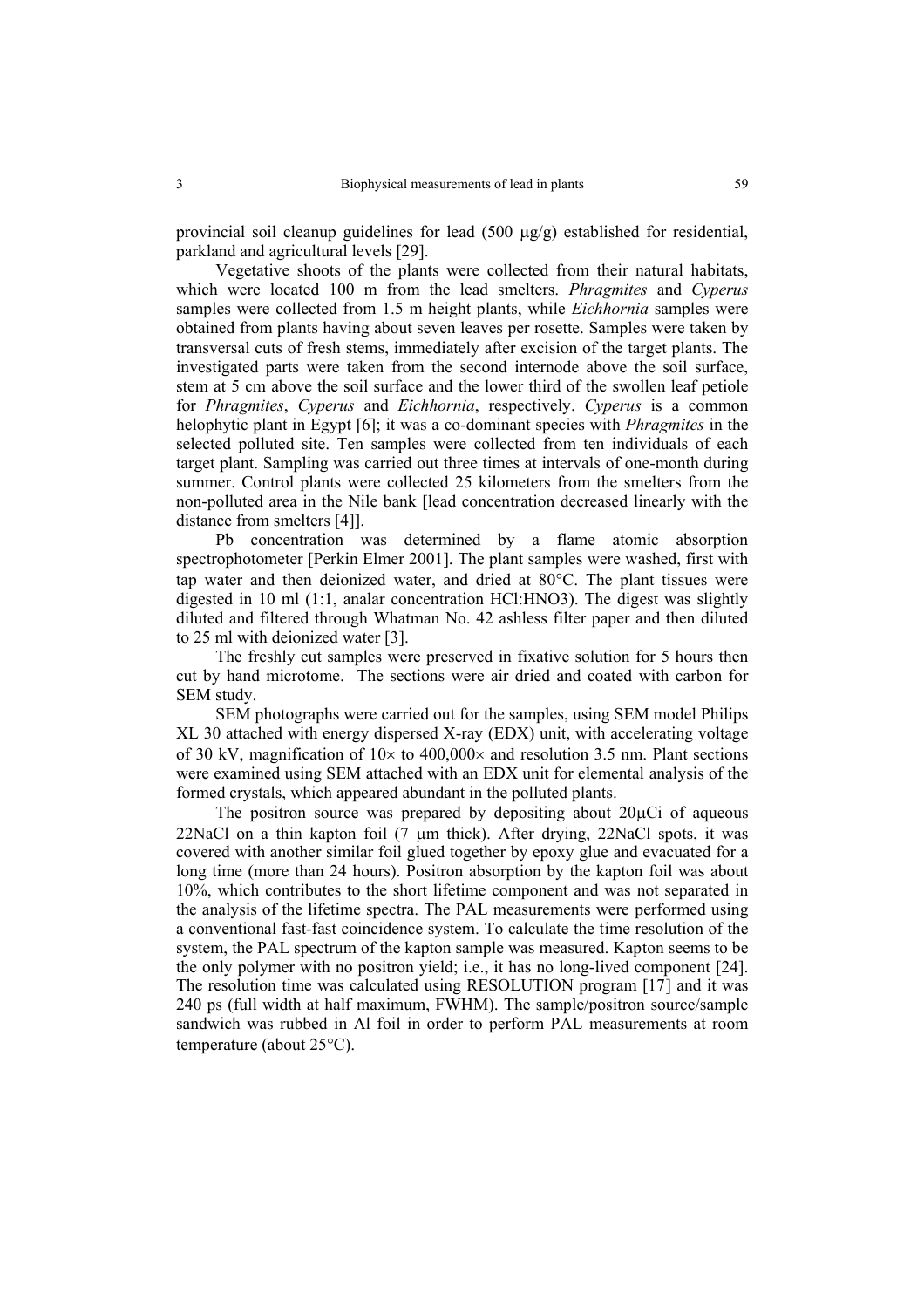provincial soil cleanup guidelines for lead  $(500 \mu g/g)$  established for residential, parkland and agricultural levels [29].

Vegetative shoots of the plants were collected from their natural habitats, which were located 100 m from the lead smelters. Phragmites and Cyperus samples were collected from 1.5 m height plants, while *Eichhornia* samples were obtained from plants having about seven leaves per rosette. Samples were taken by transversal cuts of fresh stems, immediately after excision of the target plants. The investigated parts were taken from the second internode above the soil surface. stem at 5 cm above the soil surface and the lower third of the swollen leaf petiole for *Phragmites, Cyperus* and *Eichhornia*, respectively. *Cyperus* is a common helophytic plant in Egypt [6]; it was a co-dominant species with *Phragmites* in the selected polluted site. Ten samples were collected from ten individuals of each target plant. Sampling was carried out three times at intervals of one-month during summer. Control plants were collected 25 kilometers from the smelters from the non-polluted area in the Nile bank [lead concentration decreased linearly with the distance from smelters [4]].

Pb concentration was determined by a flame atomic absorption spectrophotometer [Perkin Elmer 2001]. The plant samples were washed, first with tap water and then deionized water, and dried at 80°C. The plant tissues were digested in 10 ml (1:1, analar concentration HCl:HNO3). The digest was slightly diluted and filtered through Whatman No. 42 ashless filter paper and then diluted to 25 ml with deionized water [3].

The freshly cut samples were preserved in fixative solution for 5 hours then cut by hand microtome. The sections were air dried and coated with carbon for SEM study.

SEM photographs were carried out for the samples, using SEM model Philips XL 30 attached with energy dispersed X-ray (EDX) unit, with accelerating voltage of 30 kV, magnification of  $10\times$  to 400,000 $\times$  and resolution 3.5 nm. Plant sections were examined using SEM attached with an EDX unit for elemental analysis of the formed crystals, which appeared abundant in the polluted plants.

The positron source was prepared by depositing about  $20\mu$ Ci of aqueous 22NaCl on a thin kapton foil (7 µm thick). After drying, 22NaCl spots, it was covered with another similar foil glued together by epoxy glue and evacuated for a long time (more than 24 hours). Positron absorption by the kapton foil was about 10%, which contributes to the short lifetime component and was not separated in the analysis of the lifetime spectra. The PAL measurements were performed using a conventional fast-fast coincidence system. To calculate the time resolution of the system, the PAL spectrum of the kapton sample was measured. Kapton seems to be the only polymer with no positron yield; i.e., it has no long-lived component [24]. The resolution time was calculated using RESOLUTION program [17] and it was 240 ps (full width at half maximum, FWHM). The sample/positron source/sample sandwich was rubbed in Al foil in order to perform PAL measurements at room temperature (about 25°C).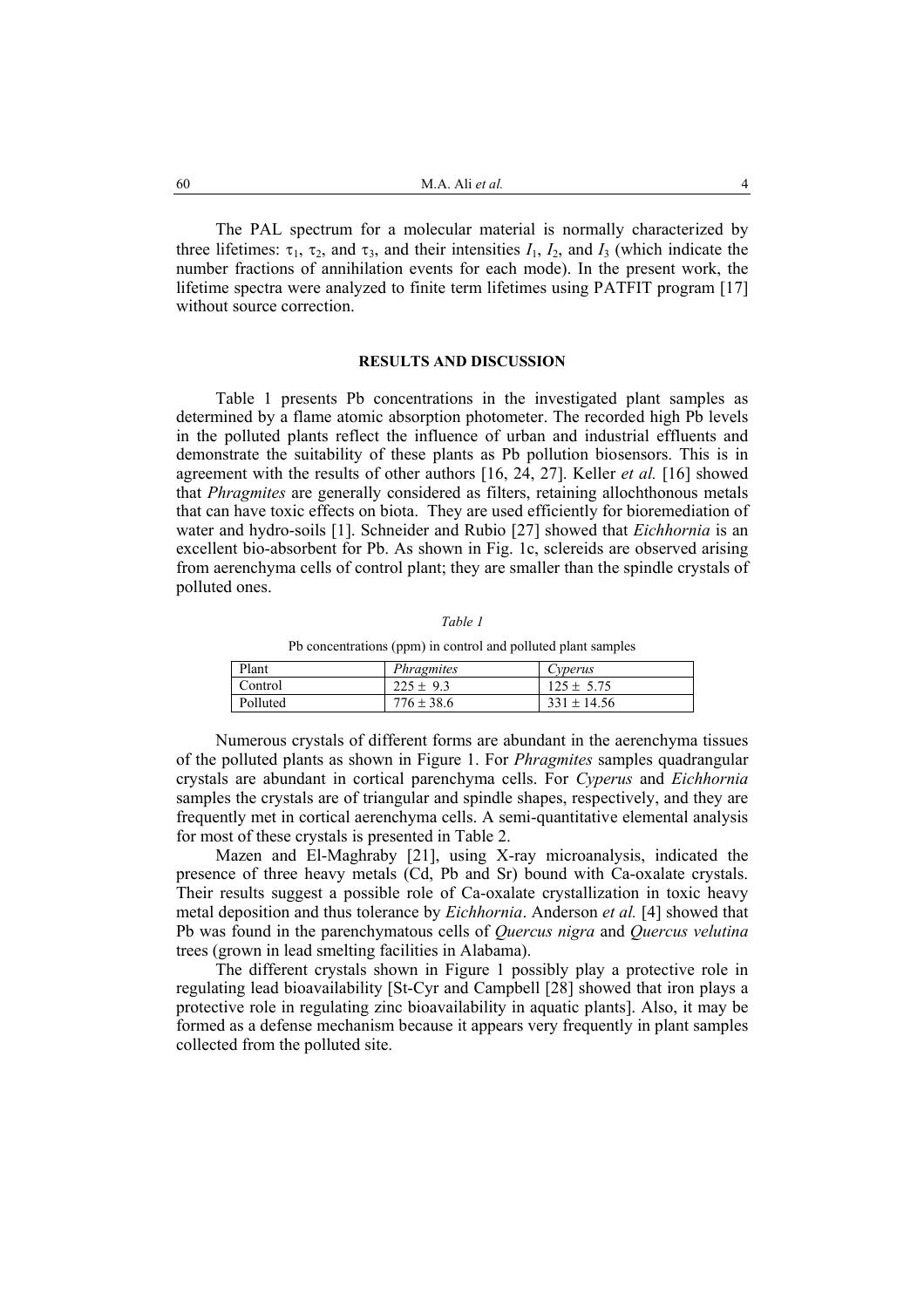The PAL spectrum for a molecular material is normally characterized by three lifetimes:  $\tau_1$ ,  $\tau_2$ , and  $\tau_3$ , and their intensities  $I_1$ ,  $I_2$ , and  $I_3$  (which indicate the number fractions of annihilation events for each mode). In the present work, the lifetime spectra were analyzed to finite term lifetimes using PATFIT program [17] without source correction.

#### **RESULTS AND DISCUSSION**

Table 1 presents Pb concentrations in the investigated plant samples as determined by a flame atomic absorption photometer. The recorded high Pb levels in the polluted plants reflect the influence of urban and industrial effluents and demonstrate the suitability of these plants as Pb pollution biosensors. This is in agreement with the results of other authors [16, 24, 27]. Keller et al. [16] showed that *Phragmites* are generally considered as filters, retaining allochthonous metals that can have toxic effects on biota. They are used efficiently for bioremediation of water and hydro-soils [1]. Schneider and Rubio [27] showed that *Eichhornia* is an excellent bio-absorbent for Pb. As shown in Fig. 1c, sclereids are observed arising from aerenchyma cells of control plant; they are smaller than the spindle crystals of polluted ones.

Table 1

Pb concentrations (ppm) in control and polluted plant samples

| Plant    | Phragmites     | Cyperus         |
|----------|----------------|-----------------|
| Control  | $225 \pm 9.3$  | $125 \pm 5.75$  |
| Polluted | $776 \pm 38.6$ | $331 \pm 14.56$ |

Numerous crystals of different forms are abundant in the aerenchyma tissues of the polluted plants as shown in Figure 1. For *Phragmites* samples quadrangular crystals are abundant in cortical parenchyma cells. For Cyperus and Eichhornia samples the crystals are of triangular and spindle shapes, respectively, and they are frequently met in cortical aerenchyma cells. A semi-quantitative elemental analysis for most of these crystals is presented in Table 2.

Mazen and El-Maghraby [21], using X-ray microanalysis, indicated the presence of three heavy metals (Cd, Pb and Sr) bound with Ca-oxalate crystals. Their results suggest a possible role of Ca-oxalate crystallization in toxic heavy metal deposition and thus tolerance by *Eichhornia*. Anderson et al. [4] showed that Pb was found in the parenchymatous cells of *Quercus nigra* and *Quercus velutina* trees (grown in lead smelting facilities in Alabama).

The different crystals shown in Figure 1 possibly play a protective role in regulating lead bioavailability [St-Cyr and Campbell [28] showed that iron plays a protective role in regulating zinc bioavailability in aquatic plants. Also, it may be formed as a defense mechanism because it appears very frequently in plant samples collected from the polluted site.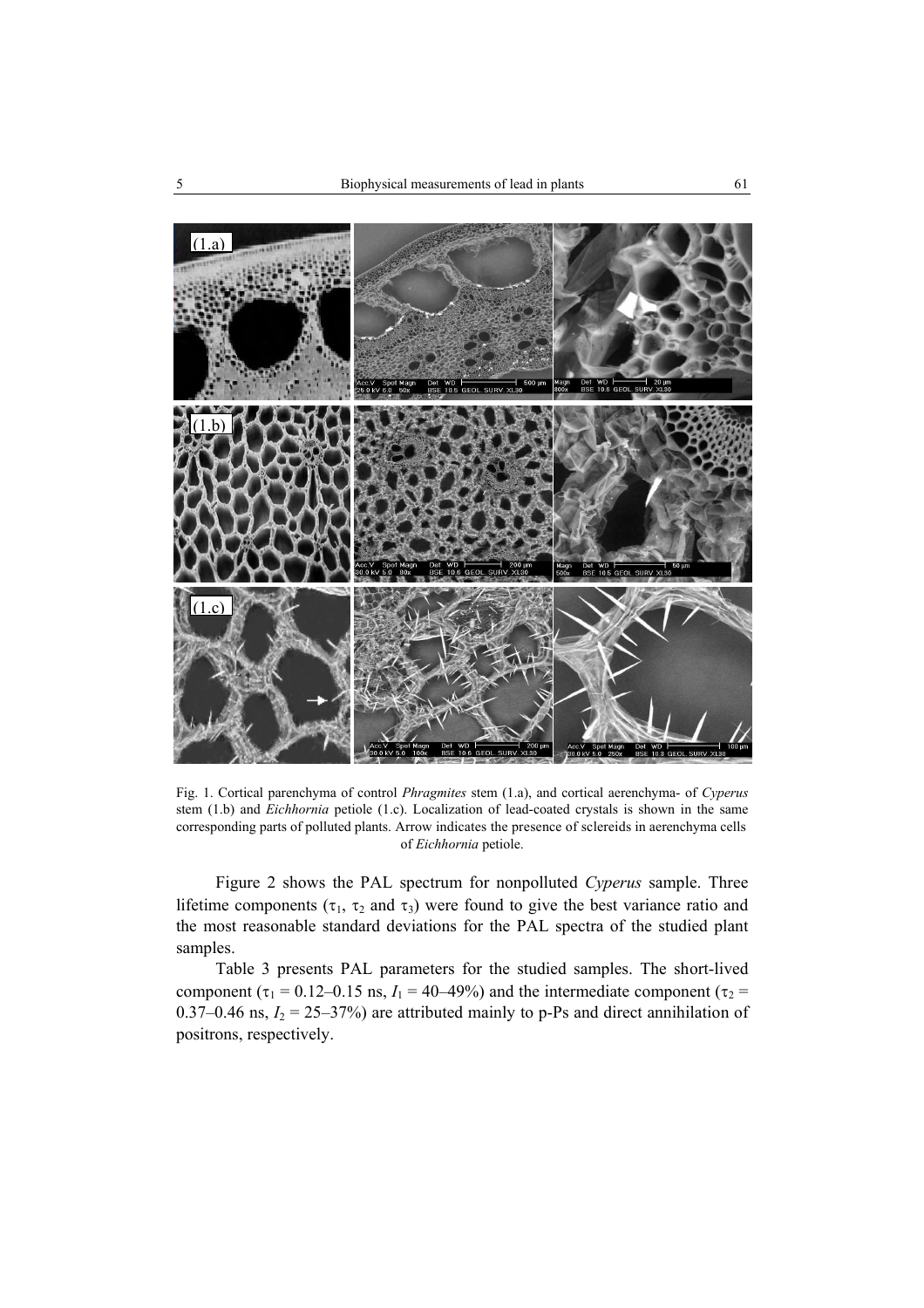

Fig. 1. Cortical parenchyma of control *Phragmites* stem (1.a), and cortical aerenchyma- of *Cyperus* stem (1.b) and *Eichhornia* petiole (1.c). Localization of lead-coated crystals is shown in the same corresponding parts of polluted plants. Arrow indicates the presence of sclereids in aerenchyma cells of Eichhornia petiole.

Figure 2 shows the PAL spectrum for nonpolluted Cyperus sample. Three lifetime components ( $\tau_1$ ,  $\tau_2$  and  $\tau_3$ ) were found to give the best variance ratio and the most reasonable standard deviations for the PAL spectra of the studied plant samples.

Table 3 presents PAL parameters for the studied samples. The short-lived component ( $\tau_1$  = 0.12–0.15 ns,  $I_1$  = 40–49%) and the intermediate component ( $\tau_2$  = 0.37–0.46 ns,  $I_2 = 25-37%$ ) are attributed mainly to p-Ps and direct annihilation of positrons, respectively.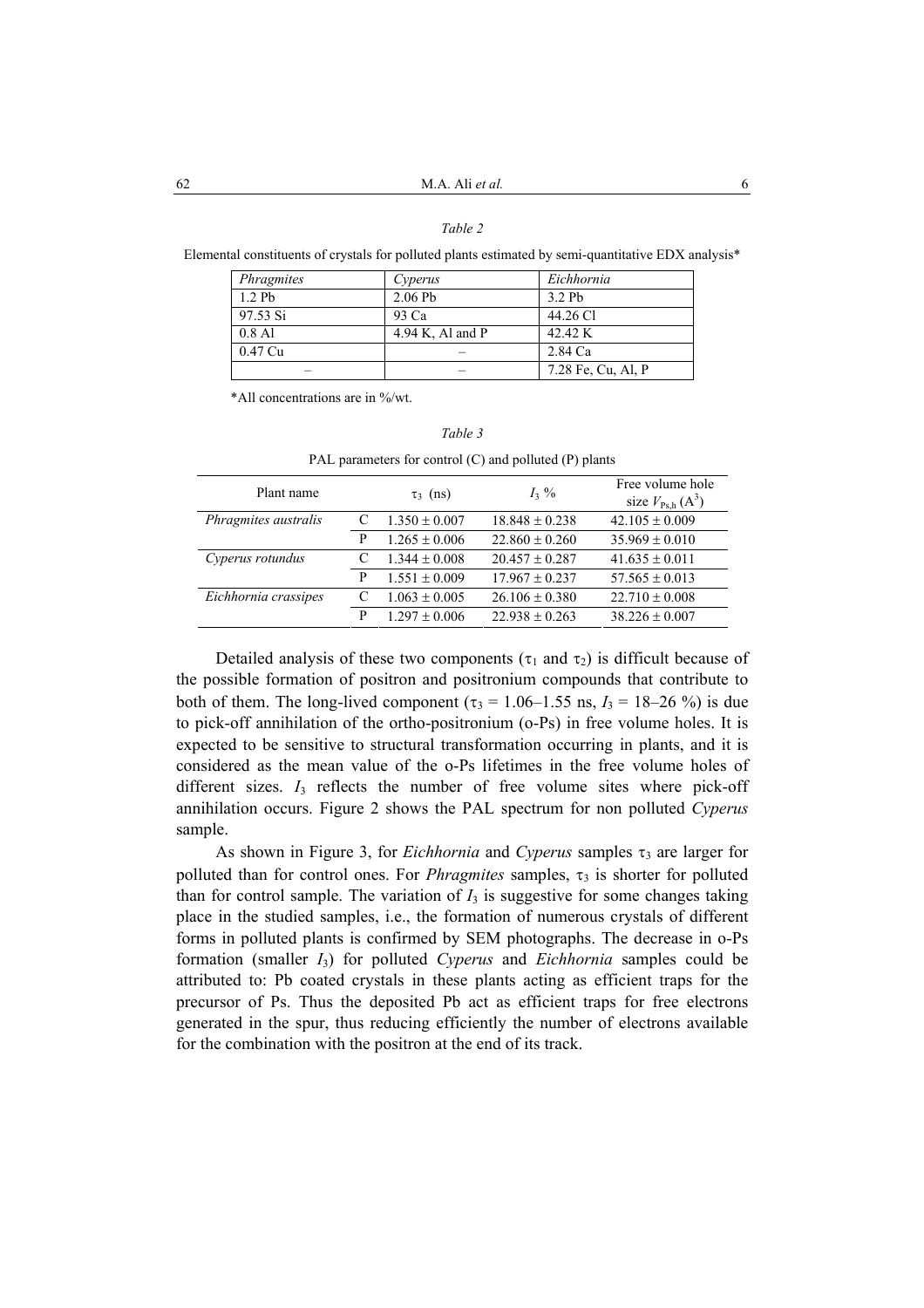## Table 2

Elemental constituents of crystals for polluted plants estimated by semi-quantitative EDX analysis\*

| <i>Phragmites</i> | Cyperus          | Eichhornia         |  |
|-------------------|------------------|--------------------|--|
| 1.2Pb             | 2.06Pb           | 3.2Pb              |  |
| 97.53 Si          | 93 Ca            | 44.26 Cl           |  |
| $0.8$ Al          | 4.94 K, Al and P | 42.42 K            |  |
| 0.47 Cu           |                  | 2.84 Ca            |  |
|                   |                  | 7.28 Fe, Cu, Al, P |  |

\*All concentrations are in %/wt.

| Plant name           |   | $\tau_3$ (ns)     | $I_3\%$            | Free volume hole<br>size $V_{\text{Psh}}(A^3)$ |
|----------------------|---|-------------------|--------------------|------------------------------------------------|
| Phragmites australis |   | $1.350 \pm 0.007$ | $18.848 \pm 0.238$ | $42.105 \pm 0.009$                             |
|                      | P | $1.265 \pm 0.006$ | $22.860 \pm 0.260$ | $35.969 \pm 0.010$                             |
| Cyperus rotundus     |   | $1.344 \pm 0.008$ | $20.457 \pm 0.287$ | $41.635 \pm 0.011$                             |
|                      | P | $1.551 \pm 0.009$ | $17.967 \pm 0.237$ | $57.565 \pm 0.013$                             |
| Eichhornia crassipes |   | $1.063 \pm 0.005$ | $26.106 \pm 0.380$ | $22.710 \pm 0.008$                             |
|                      | P | $1.297 \pm 0.006$ | $22.938 \pm 0.263$ | $38.226 \pm 0.007$                             |

PAL parameters for control (C) and polluted (P) plants

Table 3

Detailed analysis of these two components ( $\tau_1$  and  $\tau_2$ ) is difficult because of the possible formation of positron and positronium compounds that contribute to both of them. The long-lived component ( $\tau_3$  = 1.06–1.55 ns,  $I_3$  = 18–26 %) is due to pick-off annihilation of the ortho-positronium (o-Ps) in free volume holes. It is expected to be sensitive to structural transformation occurring in plants, and it is considered as the mean value of the o-Ps lifetimes in the free volume holes of different sizes.  $I_3$  reflects the number of free volume sites where pick-off annihilation occurs. Figure 2 shows the PAL spectrum for non polluted Cyperus sample.

As shown in Figure 3, for *Eichhornia* and *Cyperus* samples  $\tau_3$  are larger for polluted than for control ones. For *Phragmites* samples,  $\tau_3$  is shorter for polluted than for control sample. The variation of  $I_3$  is suggestive for some changes taking place in the studied samples, i.e., the formation of numerous crystals of different forms in polluted plants is confirmed by SEM photographs. The decrease in o-Ps formation (smaller  $I_3$ ) for polluted Cyperus and Eichhornia samples could be attributed to: Pb coated crystals in these plants acting as efficient traps for the precursor of Ps. Thus the deposited Pb act as efficient traps for free electrons generated in the spur, thus reducing efficiently the number of electrons available for the combination with the positron at the end of its track.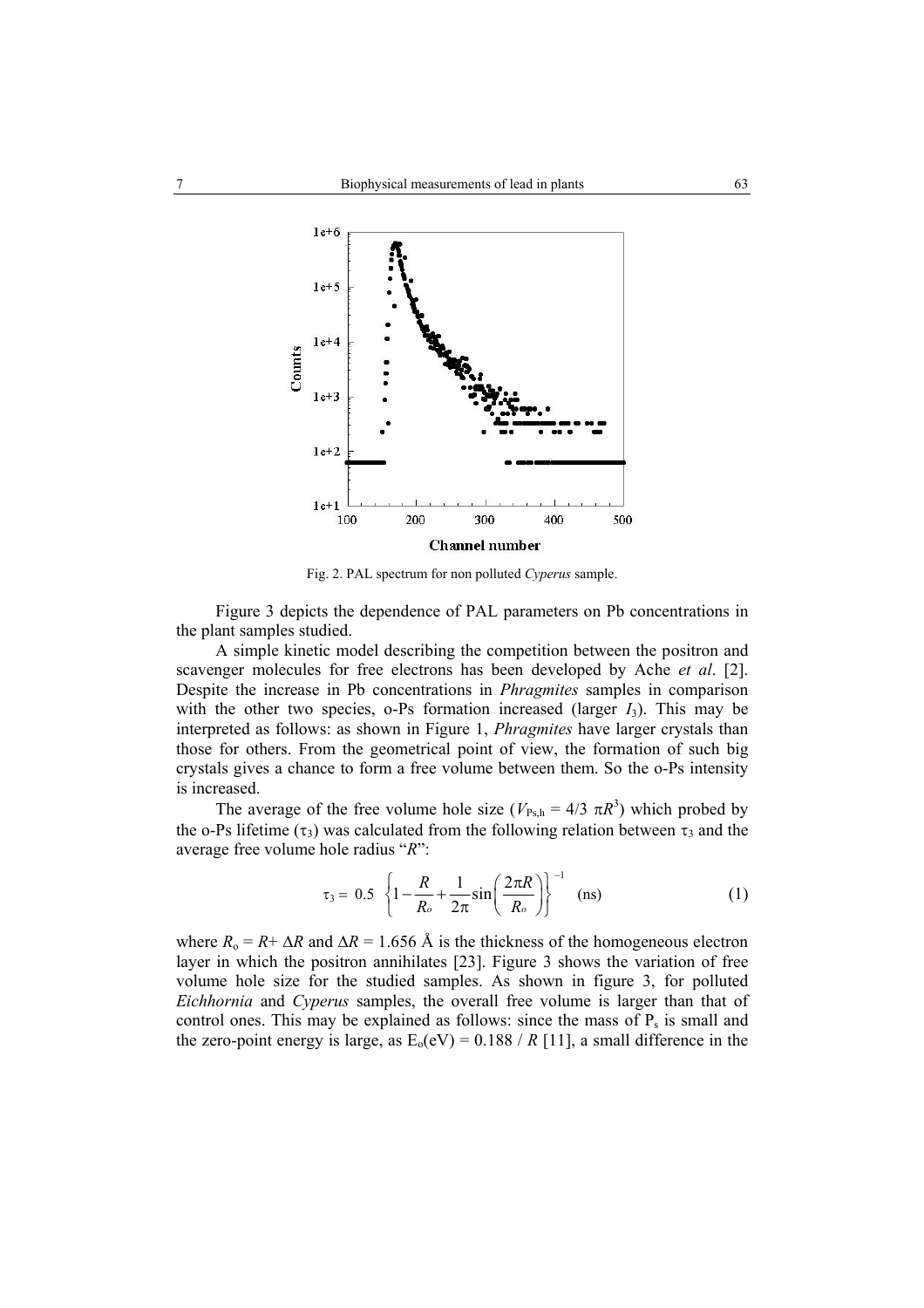

Fig. 2. PAL spectrum for non polluted Cyperus sample.

Figure 3 depicts the dependence of PAL parameters on Pb concentrations in the plant samples studied.

A simple kinetic model describing the competition between the positron and scavenger molecules for free electrons has been developed by Ache et al. [2]. Despite the increase in Pb concentrations in *Phragmites* samples in comparison with the other two species, o-Ps formation increased (larger  $I_3$ ). This may be interpreted as follows: as shown in Figure 1, *Phragmites* have larger crystals than those for others. From the geometrical point of view, the formation of such big crystals gives a chance to form a free volume between them. So the o-Ps intensity is increased.

The average of the free volume hole size ( $V_{\text{Psh}} = 4/3 \pi R^3$ ) which probed by the o-Ps lifetime  $(\tau_3)$  was calculated from the following relation between  $\tau_3$  and the average free volume hole radius " $R$ ":

$$
\tau_3 = 0.5 \left\{ 1 - \frac{R}{R_o} + \frac{1}{2\pi} \sin\left(\frac{2\pi R}{R_o}\right) \right\}^{-1} \quad \text{(ns)} \tag{1}
$$

where  $R_0 = R + \Delta R$  and  $\Delta R = 1.656$  Å is the thickness of the homogeneous electron layer in which the positron annihilates [23]. Figure 3 shows the variation of free volume hole size for the studied samples. As shown in figure 3, for polluted Eichhornia and Cyperus samples, the overall free volume is larger than that of control ones. This may be explained as follows: since the mass of  $P_s$  is small and the zero-point energy is large, as  $E_0(eV) = 0.188 / R$  [11], a small difference in the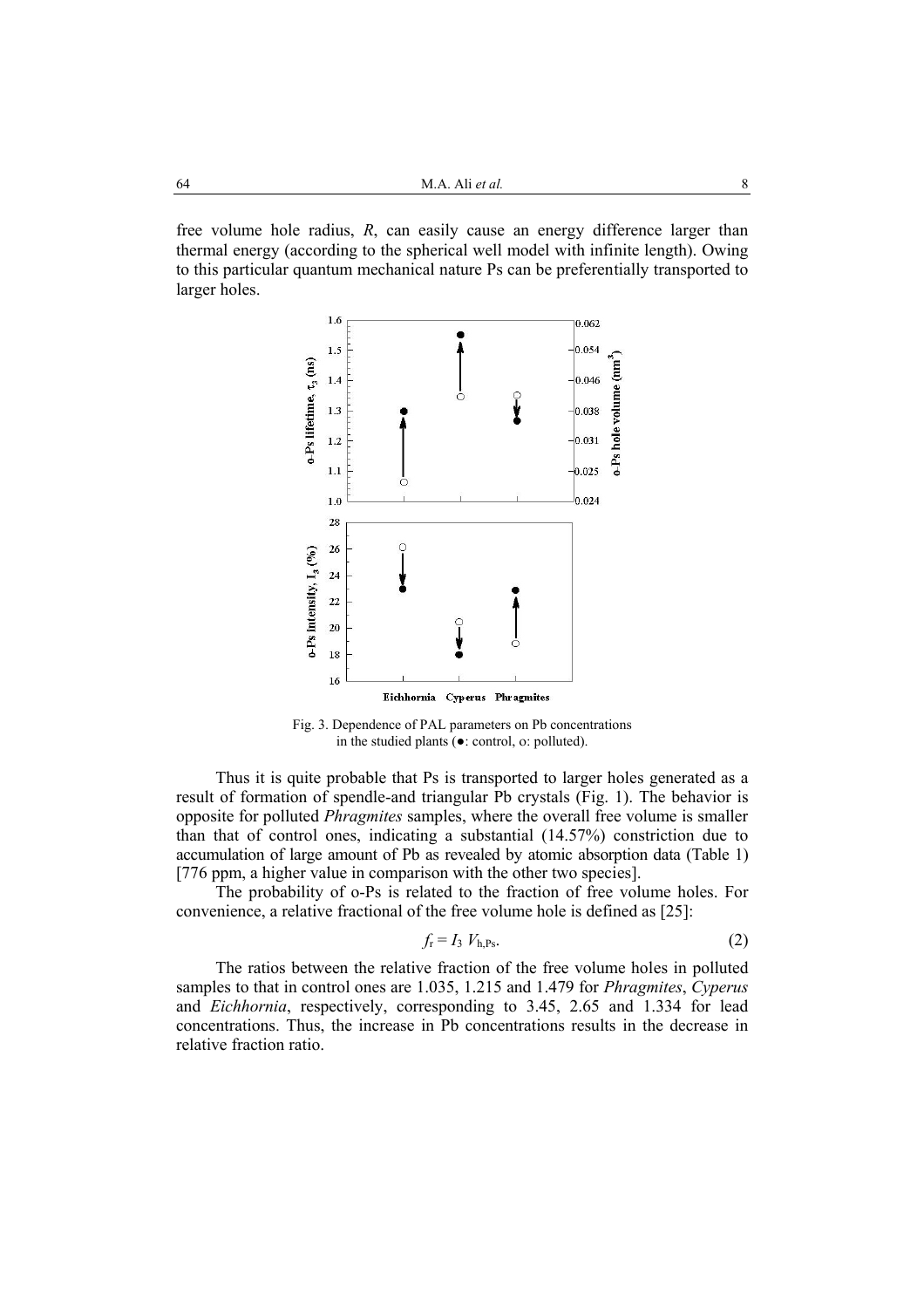free volume hole radius,  $R$ , can easily cause an energy difference larger than thermal energy (according to the spherical well model with infinite length). Owing to this particular quantum mechanical nature Ps can be preferentially transported to larger holes.



Fig. 3. Dependence of PAL parameters on Pb concentrations in the studied plants  $\overline{(\bullet)}$ : control. o: polluted).

Thus it is quite probable that Ps is transported to larger holes generated as a result of formation of spendle-and triangular Pb crystals (Fig. 1). The behavior is opposite for polluted *Phragmites* samples, where the overall free volume is smaller than that of control ones, indicating a substantial (14.57%) constriction due to accumulation of large amount of Pb as revealed by atomic absorption data (Table 1) [776 ppm, a higher value in comparison with the other two species].

The probability of o-Ps is related to the fraction of free volume holes. For convenience, a relative fractional of the free volume hole is defined as [25]:

$$
f_{\rm r} = I_3 \ V_{\rm h,Ps}.\tag{2}
$$

The ratios between the relative fraction of the free volume holes in polluted samples to that in control ones are 1.035, 1.215 and 1.479 for *Phragmites*, *Cyperus* and *Eichhornia*, respectively, corresponding to 3.45, 2.65 and 1.334 for lead concentrations. Thus, the increase in Pb concentrations results in the decrease in relative fraction ratio.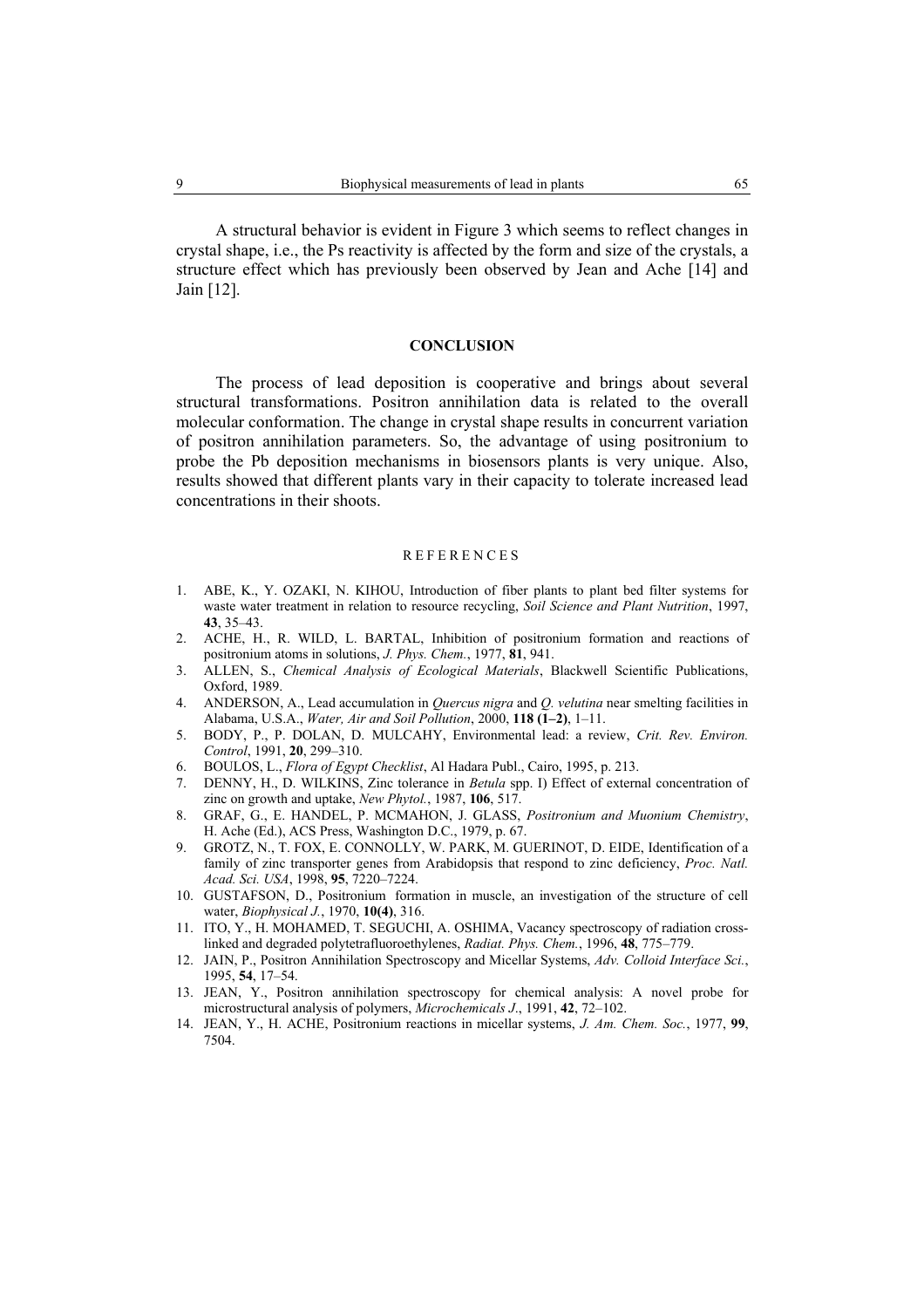A structural behavior is evident in Figure 3 which seems to reflect changes in crystal shape, i.e., the Ps reactivity is affected by the form and size of the crystals, a structure effect which has previously been observed by Jean and Ache [14] and Jain [12].

### **CONCLUSION**

The process of lead deposition is cooperative and brings about several structural transformations. Positron annihilation data is related to the overall molecular conformation. The change in crystal shape results in concurrent variation of positron annihilation parameters. So, the advantage of using positronium to probe the Pb deposition mechanisms in biosensors plants is very unique. Also, results showed that different plants vary in their capacity to tolerate increased lead concentrations in their shoots.

#### **REFERENCES**

- ABE, K., Y. OZAKI, N. KIHOU, Introduction of fiber plants to plant bed filter systems for  $\mathbf{1}$ waste water treatment in relation to resource recycling, Soil Science and Plant Nutrition, 1997, 43.35-43.
- 2. ACHE, H., R. WILD, L. BARTAL, Inhibition of positronium formation and reactions of positronium atoms in solutions, J. Phys. Chem., 1977, 81, 941.
- ALLEN, S., Chemical Analysis of Ecological Materials, Blackwell Scientific Publications,  $3.$ Oxford, 1989
- $\mathbf{A}$ ANDERSON, A., Lead accumulation in *Quercus nigra* and *Q. velutina* near smelting facilities in Alabama, U.S.A., Water, Air and Soil Pollution, 2000, 118 (1-2), 1-11.
- 5. BODY, P., P. DOLAN, D. MULCAHY, Environmental lead: a review, Crit. Rev. Environ. Control, 1991, 20, 299-310.
- 6. BOULOS, L., Flora of Egypt Checklist, Al Hadara Publ., Cairo, 1995, p. 213.
- 7. DENNY, H., D. WILKINS, Zinc tolerance in *Betula* spp. I) Effect of external concentration of zinc on growth and uptake, New Phytol., 1987, 106, 517.
- 8. GRAF, G., E. HANDEL, P. MCMAHON, J. GLASS, Positronium and Muonium Chemistry, H. Ache (Ed.), ACS Press, Washington D.C., 1979, p. 67.
- 9. GROTZ, N., T. FOX, E. CONNOLLY, W. PARK, M. GUERINOT, D. EIDE, Identification of a family of zinc transporter genes from Arabidopsis that respond to zinc deficiency. Proc. Natl. Acad. Sci. USA, 1998, 95, 7220-7224.
- 10. GUSTAFSON, D., Positronium formation in muscle, an investigation of the structure of cell water, *Biophysical J.*, 1970, 10(4), 316.
- 11. ITO, Y., H. MOHAMED, T. SEGUCHI, A. OSHIMA, Vacancy spectroscopy of radiation crosslinked and degraded polytetrafluoroethylenes, Radiat. Phys. Chem., 1996, 48, 775–779.
- 12. JAIN, P., Positron Annihilation Spectroscopy and Micellar Systems, Adv. Colloid Interface Sci., 1995, 54, 17-54.
- 13. JEAN, Y., Positron annihilation spectroscopy for chemical analysis: A novel probe for microstructural analysis of polymers, Microchemicals J., 1991, 42, 72-102.
- 14. JEAN, Y., H. ACHE, Positronium reactions in micellar systems, J. Am. Chem. Soc., 1977, 99, 7504.